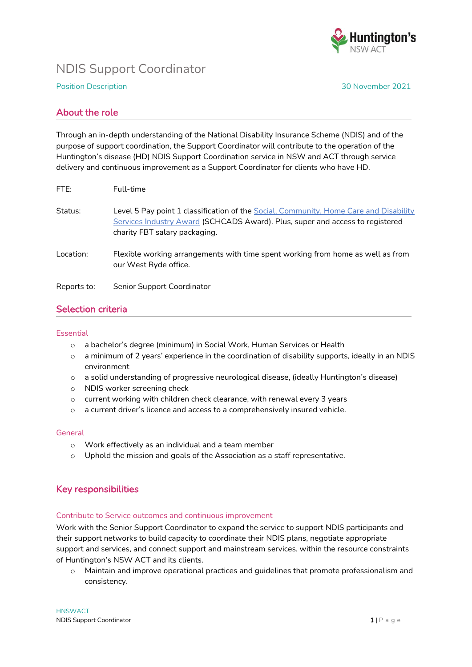

# NDIS Support Coordinator

Position Description 30 November 2021

## About the role

Through an in-depth understanding of the National Disability Insurance Scheme (NDIS) and of the purpose of support coordination, the Support Coordinator will contribute to the operation of the Huntington's disease (HD) NDIS Support Coordination service in NSW and ACT through service delivery and continuous improvement as a Support Coordinator for clients who have HD.

| FTE:        | Full-time                                                                                                                                                                                               |
|-------------|---------------------------------------------------------------------------------------------------------------------------------------------------------------------------------------------------------|
| Status:     | Level 5 Pay point 1 classification of the Social, Community, Home Care and Disability<br>Services Industry Award (SCHCADS Award). Plus, super and access to registered<br>charity FBT salary packaging. |
| Location:   | Flexible working arrangements with time spent working from home as well as from<br>our West Ryde office.                                                                                                |
| Reports to: | Senior Support Coordinator                                                                                                                                                                              |

## Selection criteria

#### **Essential**

- o a bachelor's degree (minimum) in Social Work, Human Services or Health
- $\circ$  a minimum of 2 years' experience in the coordination of disability supports, ideally in an NDIS environment
- o a solid understanding of progressive neurological disease, (ideally Huntington's disease)
- o NDIS worker screening check
- o current working with children check clearance, with renewal every 3 years
- o a current driver's licence and access to a comprehensively insured vehicle.

### **General**

- o Work effectively as an individual and a team member
- $\circ$  Uphold the mission and goals of the Association as a staff representative.

## Key responsibilities

### Contribute to Service outcomes and continuous improvement

Work with the Senior Support Coordinator to expand the service to support NDIS participants and their support networks to build capacity to coordinate their NDIS plans, negotiate appropriate support and services, and connect support and mainstream services, within the resource constraints of Huntington's NSW ACT and its clients.

o Maintain and improve operational practices and guidelines that promote professionalism and consistency.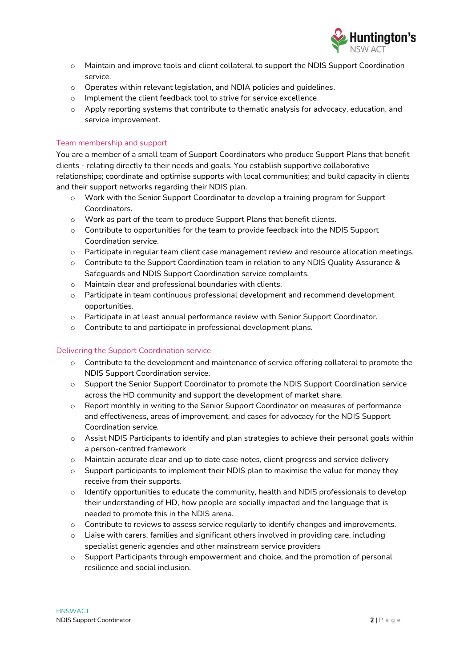

- o Maintain and improve tools and client collateral to support the NDIS Support Coordination service.
- o Operates within relevant legislation, and NDIA policies and guidelines.
- o Implement the client feedback tool to strive for service excellence.
- o Apply reporting systems that contribute to thematic analysis for advocacy, education, and service improvement.

## Team membership and support

You are a member of a small team of Support Coordinators who produce Support Plans that benefit clients - relating directly to their needs and goals. You establish supportive collaborative relationships; coordinate and optimise supports with local communities; and build capacity in clients and their support networks regarding their NDIS plan.

- o Work with the Senior Support Coordinator to develop a training program for Support Coordinators.
- o Work as part of the team to produce Support Plans that benefit clients.
- $\circ$  Contribute to opportunities for the team to provide feedback into the NDIS Support Coordination service.
- o Participate in regular team client case management review and resource allocation meetings.
- o Contribute to the Support Coordination team in relation to any NDIS Quality Assurance & Safeguards and NDIS Support Coordination service complaints.
- o Maintain clear and professional boundaries with clients.
- o Participate in team continuous professional development and recommend development opportunities.
- o Participate in at least annual performance review with Senior Support Coordinator.
- o Contribute to and participate in professional development plans.

### Delivering the Support Coordination service

- o Contribute to the development and maintenance of service offering collateral to promote the NDIS Support Coordination service.
- o Support the Senior Support Coordinator to promote the NDIS Support Coordination service across the HD community and support the development of market share.
- o Report monthly in writing to the Senior Support Coordinator on measures of performance and effectiveness, areas of improvement, and cases for advocacy for the NDIS Support Coordination service.
- o Assist NDIS Participants to identify and plan strategies to achieve their personal goals within a person-centred framework
- o Maintain accurate clear and up to date case notes, client progress and service delivery
- $\circ$  Support participants to implement their NDIS plan to maximise the value for money they receive from their supports.
- $\circ$  Identify opportunities to educate the community, health and NDIS professionals to develop their understanding of HD, how people are socially impacted and the language that is needed to promote this in the NDIS arena.
- o Contribute to reviews to assess service regularly to identify changes and improvements.
- $\circ$  Liaise with carers, families and significant others involved in providing care, including specialist generic agencies and other mainstream service providers
- $\circ$  Support Participants through empowerment and choice, and the promotion of personal resilience and social inclusion.